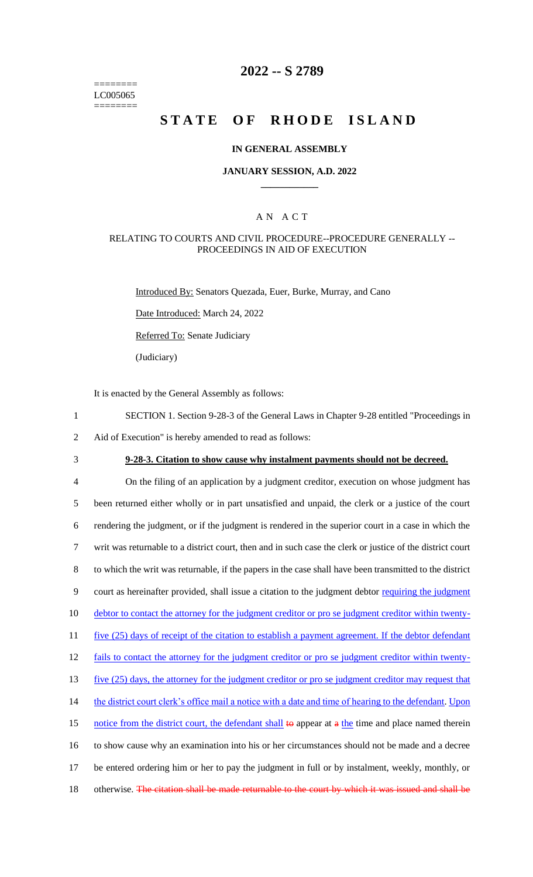======== LC005065 ========

## **2022 -- S 2789**

# **STATE OF RHODE ISLAND**

#### **IN GENERAL ASSEMBLY**

#### **JANUARY SESSION, A.D. 2022 \_\_\_\_\_\_\_\_\_\_\_\_**

#### A N A C T

#### RELATING TO COURTS AND CIVIL PROCEDURE--PROCEDURE GENERALLY -- PROCEEDINGS IN AID OF EXECUTION

Introduced By: Senators Quezada, Euer, Burke, Murray, and Cano

Date Introduced: March 24, 2022

Referred To: Senate Judiciary

(Judiciary)

It is enacted by the General Assembly as follows:

- 1 SECTION 1. Section 9-28-3 of the General Laws in Chapter 9-28 entitled "Proceedings in
- 2 Aid of Execution" is hereby amended to read as follows:
- 

## 3 **9-28-3. Citation to show cause why instalment payments should not be decreed.**

 On the filing of an application by a judgment creditor, execution on whose judgment has been returned either wholly or in part unsatisfied and unpaid, the clerk or a justice of the court rendering the judgment, or if the judgment is rendered in the superior court in a case in which the writ was returnable to a district court, then and in such case the clerk or justice of the district court to which the writ was returnable, if the papers in the case shall have been transmitted to the district court as hereinafter provided, shall issue a citation to the judgment debtor requiring the judgment debtor to contact the attorney for the judgment creditor or pro se judgment creditor within twenty-11 five (25) days of receipt of the citation to establish a payment agreement. If the debtor defendant fails to contact the attorney for the judgment creditor or pro se judgment creditor within twenty-13 five (25) days, the attorney for the judgment creditor or pro se judgment creditor may request that the district court clerk's office mail a notice with a date and time of hearing to the defendant. Upon 15 notice from the district court, the defendant shall to appear at a the time and place named therein to show cause why an examination into his or her circumstances should not be made and a decree be entered ordering him or her to pay the judgment in full or by instalment, weekly, monthly, or 18 otherwise. The citation shall be made returnable to the court by which it was issued and shall be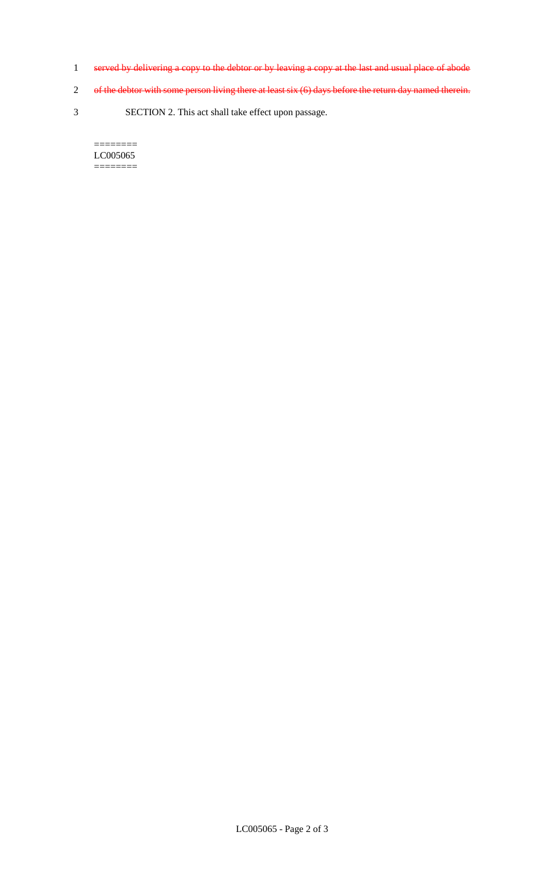- 1 served by delivering a copy to the debtor or by leaving a copy at the last and usual place of abode
- 2 of the debtor with some person living there at least six (6) days before the return day named therein.
- 3 SECTION 2. This act shall take effect upon passage.

 $=$ LC005065 ========